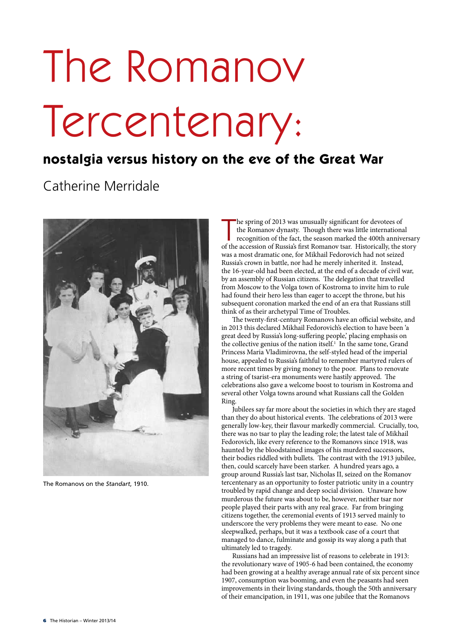# The Romanov Tercentenary:

## **nostalgia versus history on the eve of the Great War**

## Catherine Merridale



The Romanovs on the *Standart*, 1910.

The spring of 2013 was unusually significant for devotees of the Romanov dynasty. Though there was little international recognition of the fact, the season marked the 400th anniversar of the accession of Russia's first Rom he spring of 2013 was unusually significant for devotees of the Romanov dynasty. Though there was little international recognition of the fact, the season marked the 400th anniversary was a most dramatic one, for Mikhail Fedorovich had not seized Russia's crown in battle, nor had he merely inherited it. Instead, the 16-year-old had been elected, at the end of a decade of civil war, by an assembly of Russian citizens. The delegation that travelled from Moscow to the Volga town of Kostroma to invite him to rule had found their hero less than eager to accept the throne, but his subsequent coronation marked the end of an era that Russians still think of as their archetypal Time of Troubles.

The twenty-first-century Romanovs have an official website, and in 2013 this declared Mikhail Fedorovich's election to have been 'a great deed by Russia's long-suffering people,' placing emphasis on the collective genius of the nation itself.<sup>1</sup> In the same tone, Grand Princess Maria Vladimirovna, the self-styled head of the imperial house, appealed to Russia's faithful to remember martyred rulers of more recent times by giving money to the poor. Plans to renovate a string of tsarist-era monuments were hastily approved. The celebrations also gave a welcome boost to tourism in Kostroma and several other Volga towns around what Russians call the Golden Ring.

Jubilees say far more about the societies in which they are staged than they do about historical events. The celebrations of 2013 were generally low-key, their flavour markedly commercial. Crucially, too, there was no tsar to play the leading role; the latest tale of Mikhail Fedorovich, like every reference to the Romanovs since 1918, was haunted by the bloodstained images of his murdered successors, their bodies riddled with bullets. The contrast with the 1913 jubilee, then, could scarcely have been starker. A hundred years ago, a group around Russia's last tsar, Nicholas II, seized on the Romanov tercentenary as an opportunity to foster patriotic unity in a country troubled by rapid change and deep social division. Unaware how murderous the future was about to be, however, neither tsar nor people played their parts with any real grace. Far from bringing citizens together, the ceremonial events of 1913 served mainly to underscore the very problems they were meant to ease. No one sleepwalked, perhaps, but it was a textbook case of a court that managed to dance, fulminate and gossip its way along a path that ultimately led to tragedy.

Russians had an impressive list of reasons to celebrate in 1913: the revolutionary wave of 1905-6 had been contained, the economy had been growing at a healthy average annual rate of six percent since 1907, consumption was booming, and even the peasants had seen improvements in their living standards, though the 50th anniversary of their emancipation, in 1911, was one jubilee that the Romanovs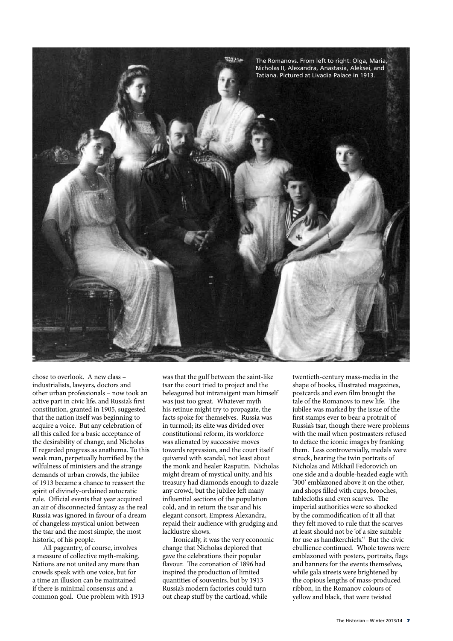

chose to overlook. A new class – industrialists, lawyers, doctors and other urban professionals – now took an active part in civic life, and Russia's first constitution, granted in 1905, suggested that the nation itself was beginning to acquire a voice. But any celebration of all this called for a basic acceptance of the desirability of change, and Nicholas II regarded progress as anathema. To this weak man, perpetually horrified by the wilfulness of ministers and the strange demands of urban crowds, the jubilee of 1913 became a chance to reassert the spirit of divinely-ordained autocratic rule. Official events that year acquired an air of disconnected fantasy as the real Russia was ignored in favour of a dream of changeless mystical union between the tsar and the most simple, the most historic, of his people.

All pageantry, of course, involves a measure of collective myth-making. Nations are not united any more than crowds speak with one voice, but for a time an illusion can be maintained if there is minimal consensus and a common goal. One problem with 1913 was that the gulf between the saint-like tsar the court tried to project and the beleagured but intransigent man himself was just too great. Whatever myth his retinue might try to propagate, the facts spoke for themselves. Russia was in turmoil; its elite was divided over constitutional reform, its workforce was alienated by successive moves towards repression, and the court itself quivered with scandal, not least about the monk and healer Rasputin. Nicholas might dream of mystical unity, and his treasury had diamonds enough to dazzle any crowd, but the jubilee left many influential sections of the population cold, and in return the tsar and his elegant consort, Empress Alexandra, repaid their audience with grudging and lacklustre shows.

Ironically, it was the very economic change that Nicholas deplored that gave the celebrations their popular flavour. The coronation of 1896 had inspired the production of limited quantities of souvenirs, but by 1913 Russia's modern factories could turn out cheap stuff by the cartload, while

twentieth-century mass-media in the shape of books, illustrated magazines, postcards and even film brought the tale of the Romanovs to new life. The jubilee was marked by the issue of the first stamps ever to bear a protrait of Russia's tsar, though there were problems with the mail when postmasters refused to deface the iconic images by franking them. Less controversially, medals were struck, bearing the twin portraits of Nicholas and Mikhail Fedorovich on one side and a double-headed eagle with '300' emblazoned above it on the other, and shops filled with cups, brooches, tablecloths and even scarves. The imperial authorities were so shocked by the commodification of it all that they felt moved to rule that the scarves at least should not be 'of a size suitable for use as handkerchiefs.'2 But the civic ebullience continued. Whole towns were emblazoned with posters, portraits, flags and banners for the events themselves, while gala streets were brightened by the copious lengths of mass-produced ribbon, in the Romanov colours of yellow and black, that were twisted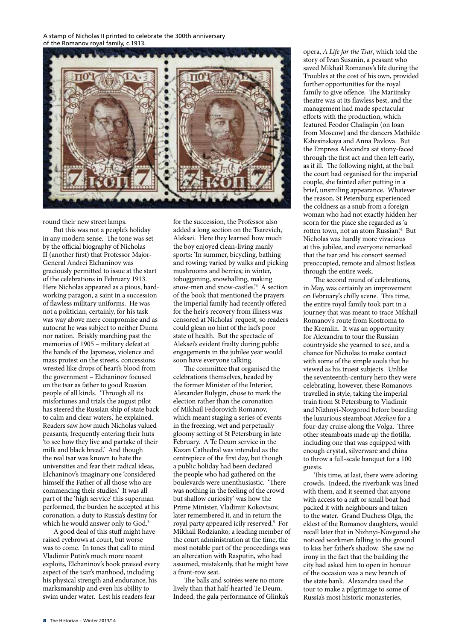A stamp of Nicholas II printed to celebrate the 300th anniversary of the Romanov royal family, c.1913.



round their new street lamps.

But this was not a people's holiday in any modern sense. The tone was set by the official biography of Nicholas II (another first) that Professor Major-General Andrei Elchaninov was graciously permitted to issue at the start of the celebrations in February 1913. Here Nicholas appeared as a pious, hardworking paragon, a saint in a succession of flawless military uniforms. He was not a politician, certainly, for his task was way above mere compromise and as autocrat he was subject to neither Duma nor nation. Briskly marching past the memories of 1905 – military defeat at the hands of the Japanese, violence and mass protest on the streets, concessions wrested like drops of heart's blood from the government – Elchaninov focused on the tsar as father to good Russian people of all kinds. 'Through all its misfortunes and trials the august pilot has steered the Russian ship of state back to calm and clear waters,' he explained. Readers saw how much Nicholas valued peasants, frequently entering their huts 'to see how they live and partake of their milk and black bread.' And though the real tsar was known to hate the universities and fear their radical ideas, Elchaninov's imaginary one 'considered himself the Father of all those who are commencing their studies.' It was all part of the 'high service' this superman performed, the burden he accepted at his coronation, a duty to Russia's destiny for which he would answer only to God.<sup>3</sup>

A good deal of this stuff might have raised eyebrows at court, but worse was to come. In tones that call to mind. Vladimir Putin's much more recent exploits, Elchaninov's book praised every aspect of the tsar's manhood, including his physical strength and endurance, his marksmanship and even his ability to swim under water. Lest his readers fear

for the succession, the Professor also added a long section on the Tsarevich, Aleksei. Here they learned how much the boy enjoyed clean-living manly sports: 'In summer, bicycling, bathing and rowing; varied by walks and picking mushrooms and berries; in winter, tobogganing, snowballing, making snow-men and snow-castles.'4 A section of the book that mentioned the prayers the imperial family had recently offered for the heir's recovery from illness was censored at Nicholas' request, so readers could glean no hint of the lad's poor state of health. But the spectacle of Aleksei's evident frailty during public engagements in the jubilee year would soon have everyone talking.

The committee that organised the celebrations themselves, headed by the former Minister of the Interior, Alexander Bulygin, chose to mark the election rather than the coronation of Mikhail Fedorovich Romanov, which meant staging a series of events in the freezing, wet and perpetually gloomy setting of St Petersburg in late February. A Te Deum service in the Kazan Cathedral was intended as the centrepiece of the first day, but though a public holiday had been declared the people who had gathered on the boulevards were unenthusiastic. 'There was nothing in the feeling of the crowd but shallow curiosity' was how the Prime Minister, Vladimir Kokovtsov, later remembered it, and in return the royal party appeared icily reserved.<sup>5</sup> For Mikhail Rodzianko, a leading member of the court administration at the time, the most notable part of the proceedings was an altercation with Rasputin, who had assumed, mistakenly, that he might have a front-row seat.

The balls and soirées were no more lively than that half-hearted Te Deum. Indeed, the gala performance of Glinka's

opera, *A Life for the Tsar*, which told the story of Ivan Susanin, a peasant who saved Mikhail Romanov's life during the Troubles at the cost of his own, provided further opportunities for the royal family to give offence. The Mariinsky theatre was at its flawless best, and the management had made spectacular efforts with the production, which featured Feodor Chaliapin (on loan from Moscow) and the dancers Mathilde Kshesinskaya and Anna Pavlova. But the Empress Alexandra sat stony-faced through the first act and then left early, as if ill. The following night, at the ball the court had organised for the imperial couple, she fainted after putting in a brief, unsmiling appearance. Whatever the reason, St Petersburg experienced the coldness as a snub from a foreign woman who had not exactly hidden her scorn for the place she regarded as 'a rotten town, not an atom Russian.'6 But Nicholas was hardly more vivacious at this jubilee, and everyone remarked that the tsar and his consort seemed preoccupied, remote and almost listless through the entire week.

The second round of celebrations, in May, was certainly an improvement on February's chilly scene. This time, the entire royal family took part in a journey that was meant to trace Mikhail Romanov's route from Kostroma to the Kremlin. It was an opportunity for Alexandra to tour the Russian countryside she yearned to see, and a chance for Nicholas to make contact with some of the simple souls that he viewed as his truest subjects. Unlike the seventeenth-century hero they were celebrating, however, these Romanovs travelled in style, taking the imperial train from St Petersburg to Vladimir and Nizhnyi-Novgorod before boarding the luxurious steamboat *Mezhen* for a four-day cruise along the Volga. Three other steamboats made up the flotilla, including one that was equipped with enough crystal, silverware and china to throw a full-scale banquet for a 100 guests.

This time, at last, there were adoring crowds. Indeed, the riverbank was lined with them, and it seemed that anyone with access to a raft or small boat had packed it with neighbours and taken to the water. Grand Duchess Olga, the eldest of the Romanov daughters, would recall later that in Nizhnyi-Novgorod she noticed workmen falling to the ground to kiss her father's shadow. She saw no irony in the fact that the building the city had asked him to open in honour of the occasion was a new branch of the state bank. Alexandra used the tour to make a pilgrimage to some of Russia's most historic monasteries,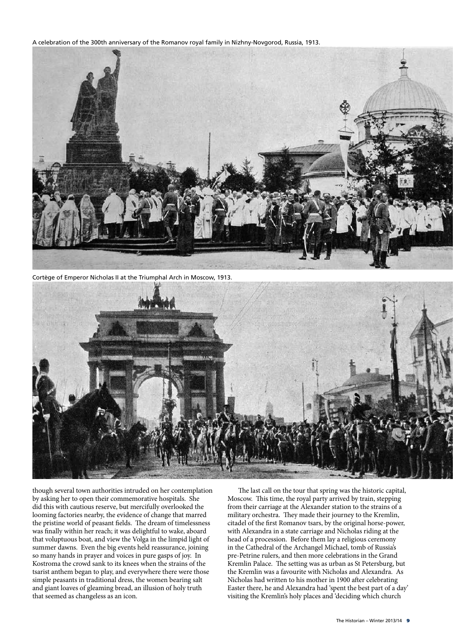A celebration of the 300th anniversary of the Romanov royal family in Nizhny-Novgorod, Russia, 1913.



Cortège of Emperor Nicholas II at the Triumphal Arch in Moscow, 1913.



though several town authorities intruded on her contemplation by asking her to open their commemorative hospitals. She did this with cautious reserve, but mercifully overlooked the looming factories nearby, the evidence of change that marred the pristine world of peasant fields. The dream of timelessness was finally within her reach; it was delightful to wake, aboard that voluptuous boat, and view the Volga in the limpid light of summer dawns. Even the big events held reassurance, joining so many hands in prayer and voices in pure gasps of joy. In Kostroma the crowd sank to its knees when the strains of the tsarist anthem began to play, and everywhere there were those simple peasants in traditional dress, the women bearing salt and giant loaves of gleaming bread, an illusion of holy truth that seemed as changeless as an icon.

The last call on the tour that spring was the historic capital, Moscow. This time, the royal party arrived by train, stepping from their carriage at the Alexander station to the strains of a military orchestra. They made their journey to the Kremlin, citadel of the first Romanov tsars, by the original horse-power, with Alexandra in a state carriage and Nicholas riding at the head of a procession. Before them lay a religious ceremony in the Cathedral of the Archangel Michael, tomb of Russia's pre-Petrine rulers, and then more celebrations in the Grand Kremlin Palace. The setting was as urban as St Petersburg, but the Kremlin was a favourite with Nicholas and Alexandra. As Nicholas had written to his mother in 1900 after celebrating Easter there, he and Alexandra had 'spent the best part of a day' visiting the Kremlin's holy places and 'deciding which church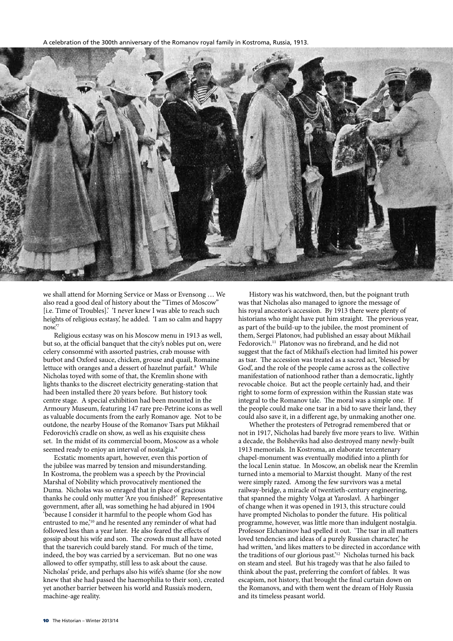A celebration of the 300th anniversary of the Romanov royal family in Kostroma, Russia, 1913.



we shall attend for Morning Service or Mass or Evensong … We also read a good deal of history about the "Times of Moscow" [i.e. Time of Troubles].' 'I never knew I was able to reach such heights of religious ecstasy,' he added. 'I am so calm and happy now.'7

Religious ecstasy was on his Moscow menu in 1913 as well, but so, at the official banquet that the city's nobles put on, were celery consommé with assorted pastries, crab mousse with burbot and Oxford sauce, chicken, grouse and quail, Romaine lettuce with oranges and a dessert of hazelnut parfait.<sup>8</sup> While Nicholas toyed with some of that, the Kremlin shone with lights thanks to the discreet electricity generating-station that had been installed there 20 years before. But history took centre stage. A special exhibition had been mounted in the Armoury Museum, featuring 147 rare pre-Petrine icons as well as valuable documents from the early Romanov age. Not to be outdone, the nearby House of the Romanov Tsars put Mikhail Fedorovich's cradle on show, as well as his exquisite chess set. In the midst of its commercial boom, Moscow as a whole seemed ready to enjoy an interval of nostalgia.9

Ecstatic moments apart, however, even this portion of the jubilee was marred by tension and misunderstanding. In Kostroma, the problem was a speech by the Provincial Marshal of Nobility which provocatively mentioned the Duma. Nicholas was so enraged that in place of gracious thanks he could only mutter 'Are you finished?' Representative government, after all, was something he had abjured in 1904 'because I consider it harmful to the people whom God has entrusted to me,'10 and he resented any reminder of what had followed less than a year later. He also feared the effects of gossip about his wife and son. The crowds must all have noted that the tsarevich could barely stand. For much of the time, indeed, the boy was carried by a serviceman. But no one was allowed to offer sympathy, still less to ask about the cause. Nicholas' pride, and perhaps also his wife's shame (for she now knew that she had passed the haemophilia to their son), created yet another barrier between his world and Russia's modern, machine-age reality.

History was his watchword, then, but the poignant truth was that Nicholas also managed to ignore the message of his royal ancestor's accession. By 1913 there were plenty of historians who might have put him straight. The previous year, as part of the build-up to the jubilee, the most prominent of them, Sergei Platonov, had published an essay about Mikhail Fedorovich.<sup>11</sup> Platonov was no firebrand, and he did not suggest that the fact of Mikhail's election had limited his power as tsar. The accession was treated as a sacred act, 'blessed by God', and the role of the people came across as the collective manifestation of nationhood rather than a democratic, lightly revocable choice. But act the people certainly had, and their right to some form of expression within the Russian state was integral to the Romanov tale. The moral was a simple one. If the people could make one tsar in a bid to save their land, they could also save it, in a different age, by unmaking another one.

Whether the protesters of Petrograd remembered that or not in 1917, Nicholas had barely five more years to live. Within a decade, the Bolsheviks had also destroyed many newly-built 1913 memorials. In Kostroma, an elaborate tercentenary chapel-monument was eventually modified into a plinth for the local Lenin statue. In Moscow, an obelisk near the Kremlin turned into a memorial to Marxist thought. Many of the rest were simply razed. Among the few survivors was a metal railway-bridge, a miracle of twentieth-century engineering, that spanned the mighty Volga at Yaroslavl. A harbinger of change when it was opened in 1913, this structure could have prompted Nicholas to ponder the future. His political programme, however, was little more than indulgent nostalgia. Professor Elchaninov had spelled it out. 'The tsar in all matters loved tendencies and ideas of a purely Russian character,' he had written, 'and likes matters to be directed in accordance with the traditions of our glorious past.<sup>12</sup> Nicholas turned his back on steam and steel. But his tragedy was that he also failed to think about the past, preferring the comfort of fables. It was escapism, not history, that brought the final curtain down on the Romanovs, and with them went the dream of Holy Russia and its timeless peasant world.